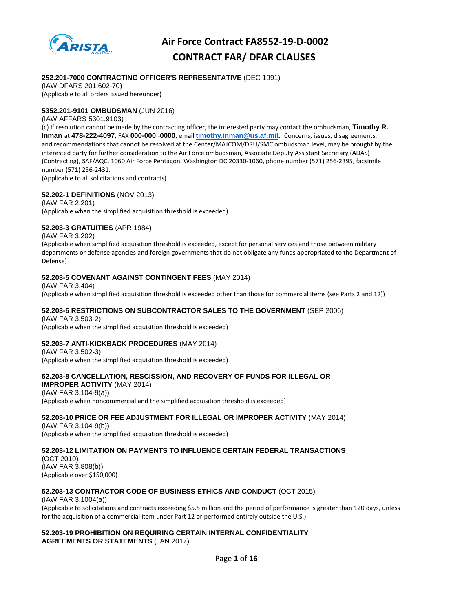

# **CONTRACT FAR/ DFAR CLAUSES Air Force Contract FA8552-19-D-0002**

## **252.201-7000 CONTRACTING OFFICER'S REPRESENTATIVE** (DEC 1991)

(IAW DFARS 201.602-70) (Applicable to all orders issued hereunder)

## **5352.201-9101 OMBUDSMAN** (JUN 2016)

(IAW AFFARS 5301.9103)

(c) If resolution cannot be made by the contracting officer, the interested party may contact the ombudsman, **Timothy R. Inman** at **478-222-4097**, FAX **000-000** -**0000**, email **[timothy.inman@us.af.mil.](mailto:timothy.inman@us.af.mil)** Concerns, issues, disagreements, and recommendations that cannot be resolved at the Center/MAJCOM/DRU/SMC ombudsman level, may be brought by the interested party for further consideration to the Air Force ombudsman, Associate Deputy Assistant Secretary (ADAS) (Contracting), SAF/AQC, 1060 Air Force Pentagon, Washington DC 20330‐1060, phone number (571) 256‐2395, facsimile number (571) 256‐2431.

(Applicable to all solicitations and contracts)

#### **52.202-1 DEFINITIONS** (NOV 2013)

(IAW FAR 2.201) (Applicable when the simplified acquisition threshold is exceeded)

## **52.203-3 GRATUITIES** (APR 1984)

(IAW FAR 3.202)

(Applicable when simplified acquisition threshold is exceeded, except for personal services and those between military departments or defense agencies and foreign governments that do not obligate any funds appropriated to the Department of Defense)

#### **52.203-5 COVENANT AGAINST CONTINGENT FEES** (MAY 2014)

(IAW FAR 3.404) (Applicable when simplified acquisition threshold is exceeded other than those for commercial items (see Parts 2 and 12))

# **52.203-6 RESTRICTIONS ON SUBCONTRACTOR SALES TO THE GOVERNMENT** (SEP 2006)

(IAW FAR 3.503-2) (Applicable when the simplified acquisition threshold is exceeded)

#### **52.203-7 ANTI-KICKBACK PROCEDURES** (MAY 2014)

(IAW FAR 3.502-3) (Applicable when the simplified acquisition threshold is exceeded)

# **52.203-8 CANCELLATION, RESCISSION, AND RECOVERY OF FUNDS FOR ILLEGAL OR IMPROPER ACTIVITY** (MAY 2014)

(IAW FAR 3.104-9(a)) (Applicable when noncommercial and the simplified acquisition threshold is exceeded)

#### **52.203-10 PRICE OR FEE ADJUSTMENT FOR ILLEGAL OR IMPROPER ACTIVITY** (MAY 2014)

(IAW FAR 3.104-9(b)) (Applicable when the simplified acquisition threshold is exceeded)

# **52.203-12 LIMITATION ON PAYMENTS TO INFLUENCE CERTAIN FEDERAL TRANSACTIONS**

(OCT 2010) (IAW FAR 3.808(b)) (Applicable over \$150,000)

#### **52.203-13 CONTRACTOR CODE OF BUSINESS ETHICS AND CONDUCT** (OCT 2015)

(IAW FAR 3.1004(a)) (Applicable to solicitations and contracts exceeding \$5.5 million and the period of performance is greater than 120 days, unless for the acquisition of a commercial item under Part 12 or performed entirely outside the U.S.)

#### **52.203-19 PROHIBITION ON REQUIRING CERTAIN INTERNAL CONFIDENTIALITY AGREEMENTS OR STATEMENTS** (JAN 2017)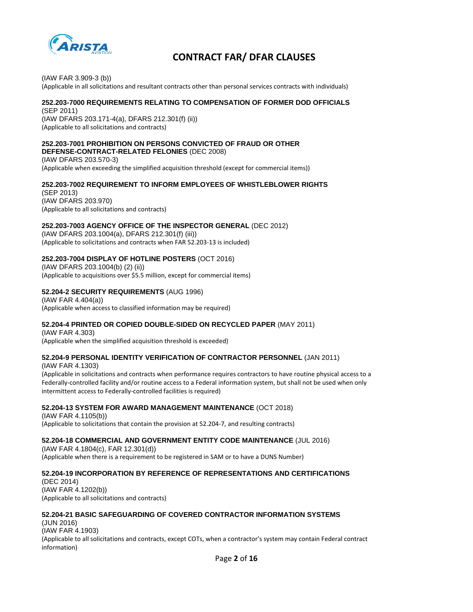

(IAW FAR 3.909-3 (b)) (Applicable in all solicitations and resultant contracts other than personal services contracts with individuals)

# **252.203-7000 REQUIREMENTS RELATING TO COMPENSATION OF FORMER DOD OFFICIALS**

(SEP 2011) (IAW DFARS 203.171-4(a), DFARS 212.301(f) (ii)) (Applicable to all solicitations and contracts)

#### **252.203-7001 PROHIBITION ON PERSONS CONVICTED OF FRAUD OR OTHER DEFENSE-CONTRACT-RELATED FELONIES** (DEC 2008)

(IAW DFARS 203.570-3) (Applicable when exceeding the simplified acquisition threshold (except for commercial items))

# **252.203-7002 REQUIREMENT TO INFORM EMPLOYEES OF WHISTLEBLOWER RIGHTS**

(SEP 2013) (IAW DFARS 203.970) (Applicable to all solicitations and contracts)

# **252.203-7003 AGENCY OFFICE OF THE INSPECTOR GENERAL** (DEC 2012)

(IAW DFARS 203.1004(a), DFARS 212.301(f) (iii)) (Applicable to solicitations and contracts when FAR 52.203‐13 is included)

# **252.203-7004 DISPLAY OF HOTLINE POSTERS** (OCT 2016)

(IAW DFARS 203.1004(b) (2) (ii)) (Applicable to acquisitions over \$5.5 million, except for commercial items)

## **52.204-2 SECURITY REQUIREMENTS** (AUG 1996)

(IAW FAR 4.404(a)) (Applicable when access to classified information may be required)

# **52.204-4 PRINTED OR COPIED DOUBLE-SIDED ON RECYCLED PAPER** (MAY 2011)

(IAW FAR 4.303) (Applicable when the simplified acquisition threshold is exceeded)

# **52.204-9 PERSONAL IDENTITY VERIFICATION OF CONTRACTOR PERSONNEL** (JAN 2011)

(IAW FAR 4.1303)

(Applicable in solicitations and contracts when performance requires contractors to have routine physical access to a Federally‐controlled facility and/or routine access to a Federal information system, but shall not be used when only intermittent access to Federally‐controlled facilities is required)

#### **52.204-13 SYSTEM FOR AWARD MANAGEMENT MAINTENANCE** (OCT 2018)

(IAW FAR 4.1105(b)) (Applicable to solicitations that contain the provision at 52.204‐7, and resulting contracts)

# **52.204-18 COMMERCIAL AND GOVERNMENT ENTITY CODE MAINTENANCE** (JUL 2016)

(IAW FAR 4.1804(c), FAR 12.301(d)) (Applicable when there is a requirement to be registered in SAM or to have a DUNS Number)

# **52.204-19 INCORPORATION BY REFERENCE OF REPRESENTATIONS AND CERTIFICATIONS**

(DEC 2014) (IAW FAR 4.1202(b)) (Applicable to all solicitations and contracts)

# **52.204-21 BASIC SAFEGUARDING OF COVERED CONTRACTOR INFORMATION SYSTEMS**

(JUN 2016) (IAW FAR 4.1903) (Applicable to all solicitations and contracts, except COTs, when a contractor's system may contain Federal contract information)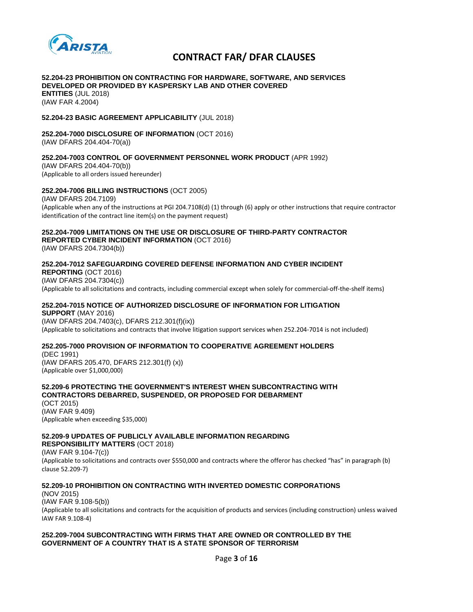

#### **52.204-23 PROHIBITION ON CONTRACTING FOR HARDWARE, SOFTWARE, AND SERVICES DEVELOPED OR PROVIDED BY KASPERSKY LAB AND OTHER COVERED ENTITIES** (JUL 2018)

(IAW FAR 4.2004)

#### **52.204-23 BASIC AGREEMENT APPLICABILITY** (JUL 2018)

# **252.204-7000 DISCLOSURE OF INFORMATION** (OCT 2016)

(IAW DFARS 204.404-70(a))

#### **252.204-7003 CONTROL OF GOVERNMENT PERSONNEL WORK PRODUCT** (APR 1992)

(IAW DFARS 204.404-70(b)) (Applicable to all orders issued hereunder)

#### **252.204-7006 BILLING INSTRUCTIONS** (OCT 2005)

(IAW DFARS 204.7109) (Applicable when any of the instructions at PGI 204.7108(d) (1) through (6) apply or other instructions that require contractor identification of the contract line item(s) on the payment request)

# **252.204-7009 LIMITATIONS ON THE USE OR DISCLOSURE OF THIRD-PARTY CONTRACTOR REPORTED CYBER INCIDENT INFORMATION** (OCT 2016)

(IAW DFARS 204.7304(b))

## **252.204-7012 SAFEGUARDING COVERED DEFENSE INFORMATION AND CYBER INCIDENT REPORTING** (OCT 2016) (IAW DFARS 204.7304(c))

(Applicable to all solicitations and contracts, including commercial except when solely for commercial‐off‐the‐shelf items)

### **252.204-7015 NOTICE OF AUTHORIZED DISCLOSURE OF INFORMATION FOR LITIGATION SUPPORT** (MAY 2016)

(IAW DFARS 204.7403(c), DFARS 212.301(f)(ix)) (Applicable to solicitations and contracts that involve litigation support services when 252.204‐7014 is not included)

# **252.205-7000 PROVISION OF INFORMATION TO COOPERATIVE AGREEMENT HOLDERS** (DEC 1991)

(IAW DFARS 205.470, DFARS 212.301(f) (x)) (Applicable over \$1,000,000)

**52.209-6 PROTECTING THE GOVERNMENT'S INTEREST WHEN SUBCONTRACTING WITH CONTRACTORS DEBARRED, SUSPENDED, OR PROPOSED FOR DEBARMENT** (OCT 2015) (IAW FAR 9.409) (Applicable when exceeding \$35,000)

#### **52.209-9 UPDATES OF PUBLICLY AVAILABLE INFORMATION REGARDING RESPONSIBILITY MATTERS** (OCT 2018) (IAW FAR 9.104-7(c))

(Applicable to solicitations and contracts over \$550,000 and contracts where the offeror has checked "has" in paragraph (b) clause 52.209‐7)

# **52.209-10 PROHIBITION ON CONTRACTING WITH INVERTED DOMESTIC CORPORATIONS**

(NOV 2015) (IAW FAR 9.108-5(b)) (Applicable to all solicitations and contracts for the acquisition of products and services (including construction) unless waived IAW FAR 9.108‐4)

## **252.209-7004 SUBCONTRACTING WITH FIRMS THAT ARE OWNED OR CONTROLLED BY THE GOVERNMENT OF A COUNTRY THAT IS A STATE SPONSOR OF TERRORISM**

Page **3** of **16**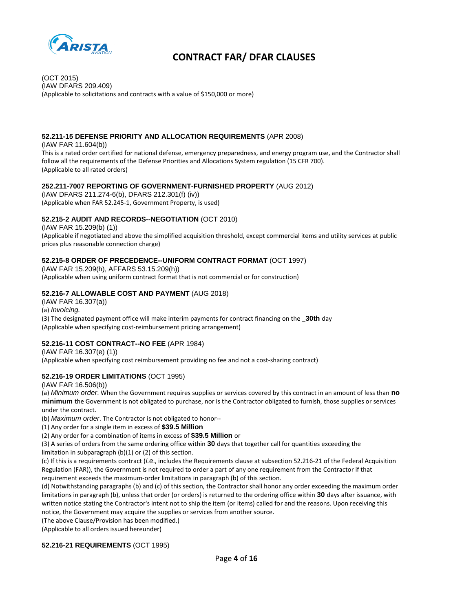

(OCT 2015) (IAW DFARS 209.409) (Applicable to solicitations and contracts with a value of \$150,000 or more)

# **52.211-15 DEFENSE PRIORITY AND ALLOCATION REQUIREMENTS** (APR 2008)

(IAW FAR 11.604(b)) This is a rated order certified for national defense, emergency preparedness, and energy program use, and the Contractor shall follow all the requirements of the Defense Priorities and Allocations System regulation (15 CFR 700).

(Applicable to all rated orders)

# **252.211-7007 REPORTING OF GOVERNMENT-FURNISHED PROPERTY** (AUG 2012)

(IAW DFARS 211.274-6(b), DFARS 212.301(f) (iv)) (Applicable when FAR 52.245‐1, Government Property, is used)

## **52.215-2 AUDIT AND RECORDS--NEGOTIATION** (OCT 2010)

(IAW FAR 15.209(b) (1)) (Applicable if negotiated and above the simplified acquisition threshold, except commercial items and utility services at public prices plus reasonable connection charge)

#### **52.215-8 ORDER OF PRECEDENCE--UNIFORM CONTRACT FORMAT** (OCT 1997)

(IAW FAR 15.209(h), AFFARS 53.15.209(h)) (Applicable when using uniform contract format that is not commercial or for construction)

## **52.216-7 ALLOWABLE COST AND PAYMENT** (AUG 2018)

(IAW FAR 16.307(a))

(a) *Invoicing.*

(3) The designated payment office will make interim payments for contract financing on the \_**30th** day (Applicable when specifying cost‐reimbursement pricing arrangement)

# **52.216-11 COST CONTRACT--NO FEE** (APR 1984)

(IAW FAR 16.307(e) (1)) (Applicable when specifying cost reimbursement providing no fee and not a cost‐sharing contract)

# **52.216-19 ORDER LIMITATIONS** (OCT 1995)

(IAW FAR 16.506(b))

(a) *Minimum order*. When the Government requires supplies or services covered by this contract in an amount of less than **no minimum** the Government is not obligated to purchase, nor is the Contractor obligated to furnish, those supplies or services under the contract.

(b) *Maximum order*. The Contractor is not obligated to honor‐‐

(1) Any order for a single item in excess of **\$39.5 Million**

(2) Any order for a combination of items in excess of **\$39.5 Million** or

(3) A series of orders from the same ordering office within **30** days that together call for quantities exceeding the limitation in subparagraph (b)(1) or (2) of this section.

(c) If this is a requirements contract (*i.e*., includes the Requirements clause at subsection 52.216‐21 of the Federal Acquisition Regulation (FAR)), the Government is not required to order a part of any one requirement from the Contractor if that requirement exceeds the maximum‐order limitations in paragraph (b) of this section.

(d) Notwithstanding paragraphs (b) and (c) of this section, the Contractor shall honor any order exceeding the maximum order limitations in paragraph (b), unless that order (or orders) is returned to the ordering office within **30** days after issuance, with written notice stating the Contractor's intent not to ship the item (or items) called for and the reasons. Upon receiving this notice, the Government may acquire the supplies or services from another source.

(The above Clause/Provision has been modified.)

(Applicable to all orders issued hereunder)

# **52.216-21 REQUIREMENTS** (OCT 1995)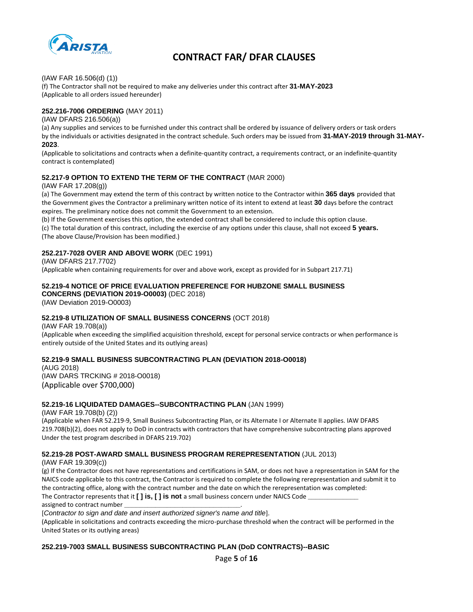

(IAW FAR 16.506(d) (1))

(f) The Contractor shall not be required to make any deliveries under this contract after **31**‐**MAY**‐**2023** (Applicable to all orders issued hereunder)

### **252.216-7006 ORDERING** (MAY 2011)

#### (IAW DFARS 216.506(a))

(a) Any supplies and services to be furnished under this contract shall be ordered by issuance of delivery orders or task orders by the individuals or activities designated in the contract schedule. Such orders may be issued from **31**‐**MAY**‐**2019 through 31**‐**MAY**‐ **2023**.

(Applicable to solicitations and contracts when a definite‐quantity contract, a requirements contract, or an indefinite‐quantity contract is contemplated)

## **52.217-9 OPTION TO EXTEND THE TERM OF THE CONTRACT** (MAR 2000)

### (IAW FAR 17.208(g))

(a) The Government may extend the term of this contract by written notice to the Contractor within **365 days** provided that the Government gives the Contractor a preliminary written notice of its intent to extend at least **30** days before the contract expires. The preliminary notice does not commit the Government to an extension.

(b) If the Government exercises this option, the extended contract shall be considered to include this option clause.

(c) The total duration of this contract, including the exercise of any options under this clause, shall not exceed **5 years.** (The above Clause/Provision has been modified.)

# **252.217-7028 OVER AND ABOVE WORK** (DEC 1991)

(IAW DFARS 217.7702)

(Applicable when containing requirements for over and above work, except as provided for in Subpart 217.71)

#### **52.219-4 NOTICE OF PRICE EVALUATION PREFERENCE FOR HUBZONE SMALL BUSINESS CONCERNS (DEVIATION 2019-O0003)** (DEC 2018)

(IAW Deviation 2019-O0003)

# **52.219-8 UTILIZATION OF SMALL BUSINESS CONCERNS** (OCT 2018)

(IAW FAR 19.708(a))

(Applicable when exceeding the simplified acquisition threshold, except for personal service contracts or when performance is entirely outside of the United States and its outlying areas)

# **52.219-9 SMALL BUSINESS SUBCONTRACTING PLAN (DEVIATION 2018-O0018)**

(AUG 2018) (IAW DARS TRCKING # 2018-O0018) (Applicable over \$700,000)

#### **52.219-16 LIQUIDATED DAMAGES--SUBCONTRACTING PLAN** (JAN 1999)

(IAW FAR 19.708(b) (2))

(Applicable when FAR 52.219‐9, Small Business Subcontracting Plan, or its Alternate I or Alternate II applies. IAW DFARS 219.708(b)(2), does not apply to DoD in contracts with contractors that have comprehensive subcontracting plans approved Under the test program described in DFARS 219.702)

#### **52.219-28 POST-AWARD SMALL BUSINESS PROGRAM REREPRESENTATION** (JUL 2013)

(IAW FAR 19.309(c))

(g) If the Contractor does not have representations and certifications in SAM, or does not have a representation in SAM for the NAICS code applicable to this contract, the Contractor is required to complete the following rerepresentation and submit it to the contracting office, along with the contract number and the date on which the rerepresentation was completed: The Contractor represents that it **[ ] is, [ ] is not** a small business concern under NAICS Code **\_\_\_\_\_\_\_\_\_\_\_\_\_** assigned to contract number **\_\_\_\_\_\_\_\_\_\_\_\_\_\_\_\_\_\_\_\_\_\_\_\_\_\_\_\_\_\_**.

[*Contractor to sign and date and insert authorized signer's name and title*].

(Applicable in solicitations and contracts exceeding the micro‐purchase threshold when the contract will be performed in the United States or its outlying areas)

# **252.219-7003 SMALL BUSINESS SUBCONTRACTING PLAN (DoD CONTRACTS)--BASIC**

Page **5** of **16**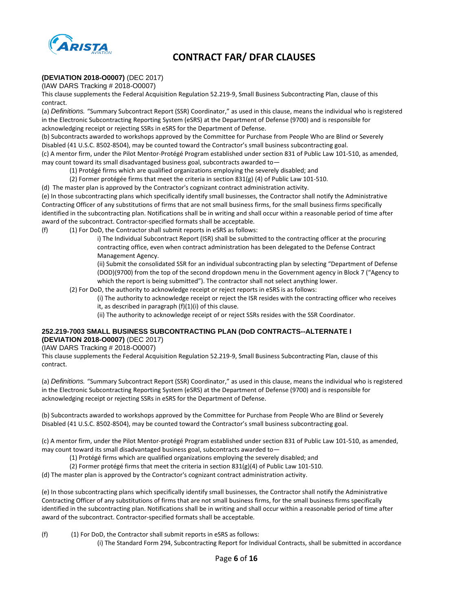

# **(DEVIATION 2018-O0007)** (DEC 2017)

(IAW DARS Tracking # 2018-O0007)

This clause supplements the Federal Acquisition Regulation 52.219‐9, Small Business Subcontracting Plan, clause of this contract.

(a) *Definitions.* "Summary Subcontract Report (SSR) Coordinator," as used in this clause, means the individual who is registered in the Electronic Subcontracting Reporting System (eSRS) at the Department of Defense (9700) and is responsible for acknowledging receipt or rejecting SSRs in eSRS for the Department of Defense.

(b) Subcontracts awarded to workshops approved by the Committee for Purchase from People Who are Blind or Severely Disabled (41 U.S.C. 8502‐8504), may be counted toward the Contractor's small business subcontracting goal.

(c) A mentor firm, under the Pilot Mentor‐Protégé Program established under section 831 of Public Law 101‐510, as amended, may count toward its small disadvantaged business goal, subcontracts awarded to—

(1) Protégé firms which are qualified organizations employing the severely disabled; and

(2) Former protégée firms that meet the criteria in section  $831(g)$  (4) of Public Law 101-510.

(d) The master plan is approved by the Contractor's cognizant contract administration activity.

(e) In those subcontracting plans which specifically identify small businesses, the Contractor shall notify the Administrative Contracting Officer of any substitutions of firms that are not small business firms, for the small business firms specifically identified in the subcontracting plan. Notifications shall be in writing and shall occur within a reasonable period of time after award of the subcontract. Contractor‐specified formats shall be acceptable.

(f) (1) For DoD, the Contractor shall submit reports in eSRS as follows:

i) The Individual Subcontract Report (ISR) shall be submitted to the contracting officer at the procuring contracting office, even when contract administration has been delegated to the Defense Contract Management Agency.

(ii) Submit the consolidated SSR for an individual subcontracting plan by selecting "Department of Defense (DOD)(9700) from the top of the second dropdown menu in the Government agency in Block 7 ("Agency to which the report is being submitted"). The contractor shall not select anything lower.

(2) For DoD, the authority to acknowledge receipt or reject reports in eSRS is as follows:

(i) The authority to acknowledge receipt or reject the ISR resides with the contracting officer who receives it, as described in paragraph  $(f)(1)(i)$  of this clause.

(ii) The authority to acknowledge receipt of or reject SSRs resides with the SSR Coordinator.

# **252.219-7003 SMALL BUSINESS SUBCONTRACTING PLAN (DoD CONTRACTS--ALTERNATE I**

**(DEVIATION 2018-O0007)** (DEC 2017)

(IAW DARS Tracking # 2018-O0007)

This clause supplements the Federal Acquisition Regulation 52.219‐9, Small Business Subcontracting Plan, clause of this contract.

(a) *Definitions.* "Summary Subcontract Report (SSR) Coordinator," as used in this clause, means the individual who is registered in the Electronic Subcontracting Reporting System (eSRS) at the Department of Defense (9700) and is responsible for acknowledging receipt or rejecting SSRs in eSRS for the Department of Defense.

(b) Subcontracts awarded to workshops approved by the Committee for Purchase from People Who are Blind or Severely Disabled (41 U.S.C. 8502‐8504), may be counted toward the Contractor's small business subcontracting goal.

(c) A mentor firm, under the Pilot Mentor‐protégé Program established under section 831 of Public Law 101‐510, as amended, may count toward its small disadvantaged business goal, subcontracts awarded to—

(1) Protégé firms which are qualified organizations employing the severely disabled; and

(2) Former protégé firms that meet the criteria in section  $831(g)(4)$  of Public Law 101-510.

(d) The master plan is approved by the Contractor's cognizant contract administration activity.

(e) In those subcontracting plans which specifically identify small businesses, the Contractor shall notify the Administrative Contracting Officer of any substitutions of firms that are not small business firms, for the small business firms specifically identified in the subcontracting plan. Notifications shall be in writing and shall occur within a reasonable period of time after award of the subcontract. Contractor‐specified formats shall be acceptable.

(f) (1) For DoD, the Contractor shall submit reports in eSRS as follows:

(i) The Standard Form 294, Subcontracting Report for Individual Contracts, shall be submitted in accordance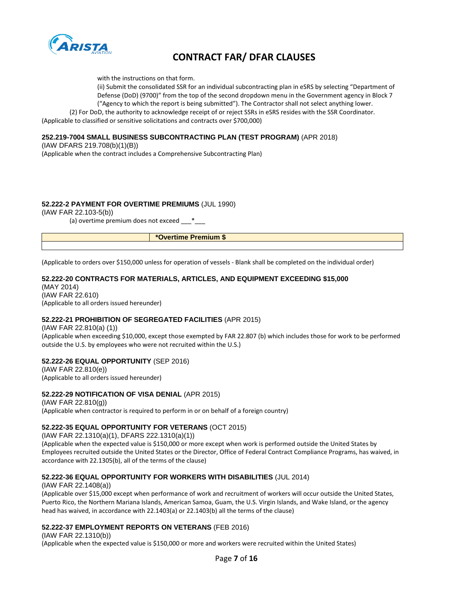

with the instructions on that form.

(ii) Submit the consolidated SSR for an individual subcontracting plan in eSRS by selecting "Department of Defense (DoD) (9700)" from the top of the second dropdown menu in the Government agency in Block 7 ("Agency to which the report is being submitted"). The Contractor shall not select anything lower.

(2) For DoD, the authority to acknowledge receipt of or reject SSRs in eSRS resides with the SSR Coordinator.

(Applicable to classified or sensitive solicitations and contracts over \$700,000)

## **252.219-7004 SMALL BUSINESS SUBCONTRACTING PLAN (TEST PROGRAM)** (APR 2018)

(IAW DFARS 219.708(b)(1)(B))

(Applicable when the contract includes a Comprehensive Subcontracting Plan)

## **52.222-2 PAYMENT FOR OVERTIME PREMIUMS** (JUL 1990)

(IAW FAR 22.103-5(b))

(a) overtime premium does not exceed \_\_\_\*\_\_\_

**\*Overtime Premium \$**

(Applicable to orders over \$150,000 unless for operation of vessels ‐ Blank shall be completed on the individual order)

#### **52.222-20 CONTRACTS FOR MATERIALS, ARTICLES, AND EQUIPMENT EXCEEDING \$15,000**

(MAY 2014) (IAW FAR 22.610) (Applicable to all orders issued hereunder)

#### **52.222-21 PROHIBITION OF SEGREGATED FACILITIES** (APR 2015)

(IAW FAR 22.810(a) (1)) (Applicable when exceeding \$10,000, except those exempted by FAR 22.807 (b) which includes those for work to be performed outside the U.S. by employees who were not recruited within the U.S.)

# **52.222-26 EQUAL OPPORTUNITY** (SEP 2016)

(IAW FAR 22.810(e)) (Applicable to all orders issued hereunder)

#### **52.222-29 NOTIFICATION OF VISA DENIAL** (APR 2015)

(IAW FAR 22.810(g)) (Applicable when contractor is required to perform in or on behalf of a foreign country)

#### **52.222-35 EQUAL OPPORTUNITY FOR VETERANS** (OCT 2015)

(IAW FAR 22.1310(a)(1), DFARS 222.1310(a)(1))

(Applicable when the expected value is \$150,000 or more except when work is performed outside the United States by Employees recruited outside the United States or the Director, Office of Federal Contract Compliance Programs, has waived, in accordance with 22.1305(b), all of the terms of the clause)

#### **52.222-36 EQUAL OPPORTUNITY FOR WORKERS WITH DISABILITIES** (JUL 2014)

(IAW FAR 22.1408(a))

(Applicable over \$15,000 except when performance of work and recruitment of workers will occur outside the United States, Puerto Rico, the Northern Mariana Islands, American Samoa, Guam, the U.S. Virgin Islands, and Wake Island, or the agency head has waived, in accordance with 22.1403(a) or 22.1403(b) all the terms of the clause)

# **52.222-37 EMPLOYMENT REPORTS ON VETERANS** (FEB 2016)

(IAW FAR 22.1310(b))

(Applicable when the expected value is \$150,000 or more and workers were recruited within the United States)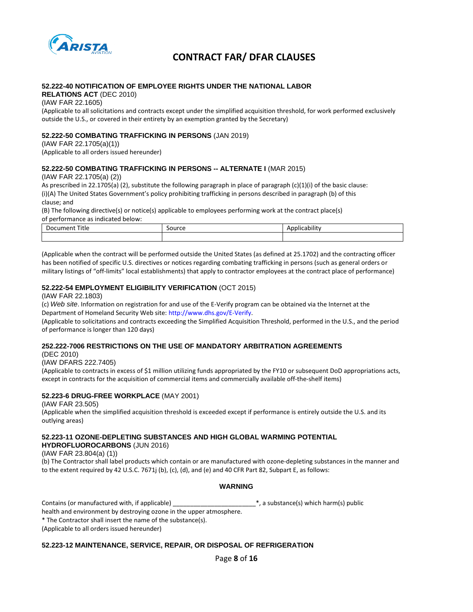

## **52.222-40 NOTIFICATION OF EMPLOYEE RIGHTS UNDER THE NATIONAL LABOR**

**RELATIONS ACT** (DEC 2010)

(IAW FAR 22.1605)

(Applicable to all solicitations and contracts except under the simplified acquisition threshold, for work performed exclusively outside the U.S., or covered in their entirety by an exemption granted by the Secretary)

## **52.222-50 COMBATING TRAFFICKING IN PERSONS** (JAN 2019)

(IAW FAR 22.1705(a)(1))

(Applicable to all orders issued hereunder)

#### **52.222-50 COMBATING TRAFFICKING IN PERSONS -- ALTERNATE I** (MAR 2015)

(IAW FAR 22.1705(a) (2))

As prescribed in 22.1705(a) (2), substitute the following paragraph in place of paragraph (c)(1)(i) of the basic clause: (i)(A) The United States Government's policy prohibiting trafficking in persons described in paragraph (b) of this clause; and

(B) The following directive(s) or notice(s) applicable to employees performing work at the contract place(s) of performance as indicated below:

| or performance as indicated below. |       |          |
|------------------------------------|-------|----------|
| Document Title                     | ource | <br>nnii |
|                                    |       |          |

(Applicable when the contract will be performed outside the United States (as defined at 25.1702) and the contracting officer has been notified of specific U.S. directives or notices regarding combating trafficking in persons (such as general orders or military listings of "off‐limits" local establishments) that apply to contractor employees at the contract place of performance)

## **52.222-54 EMPLOYMENT ELIGIBILITY VERIFICATION** (OCT 2015)

(IAW FAR 22.1803)

(c) *Web site*. Information on registration for and use of the E‐Verify program can be obtained via the Internet at the Department of Homeland Security Web site: http://www.dhs.gov/E‐Verify.

(Applicable to solicitations and contracts exceeding the Simplified Acquisition Threshold, performed in the U.S., and the period of performance is longer than 120 days)

# **252.222-7006 RESTRICTIONS ON THE USE OF MANDATORY ARBITRATION AGREEMENTS**

(DEC 2010)

(IAW DFARS 222.7405)

(Applicable to contracts in excess of \$1 million utilizing funds appropriated by the FY10 or subsequent DoD appropriations acts, except in contracts for the acquisition of commercial items and commercially available off-the-shelf items)

#### **52.223-6 DRUG-FREE WORKPLACE** (MAY 2001)

(IAW FAR 23.505)

(Applicable when the simplified acquisition threshold is exceeded except if performance is entirely outside the U.S. and its outlying areas)

# **52.223-11 OZONE-DEPLETING SUBSTANCES AND HIGH GLOBAL WARMING POTENTIAL**

# **HYDROFLUOROCARBONS** (JUN 2016)

(IAW FAR 23.804(a) (1))

(b) The Contractor shall label products which contain or are manufactured with ozone‐depleting substances in the manner and to the extent required by 42 U.S.C. 7671j (b), (c), (d), and (e) and 40 CFR Part 82, Subpart E, as follows:

### **WARNING**

Contains (or manufactured with, if applicable) example and the substance of the substance (s) which harm(s) public

health and environment by destroying ozone in the upper atmosphere.

\* The Contractor shall insert the name of the substance(s).

(Applicable to all orders issued hereunder)

# **52.223-12 MAINTENANCE, SERVICE, REPAIR, OR DISPOSAL OF REFRIGERATION**

Page **8** of **16**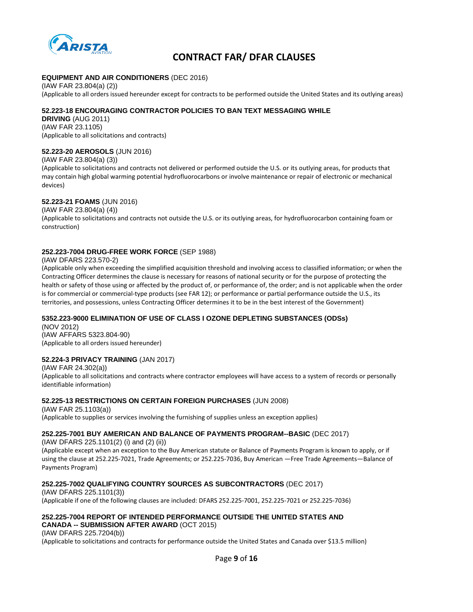

### **EQUIPMENT AND AIR CONDITIONERS** (DEC 2016)

(IAW FAR 23.804(a) (2)) (Applicable to all orders issued hereunder except for contracts to be performed outside the United States and its outlying areas)

#### **52.223-18 ENCOURAGING CONTRACTOR POLICIES TO BAN TEXT MESSAGING WHILE**

**DRIVING** (AUG 2011) (IAW FAR 23.1105) (Applicable to all solicitations and contracts)

#### **52.223-20 AEROSOLS** (JUN 2016)

(IAW FAR 23.804(a) (3))

(Applicable to solicitations and contracts not delivered or performed outside the U.S. or its outlying areas, for products that may contain high global warming potential hydrofluorocarbons or involve maintenance or repair of electronic or mechanical devices)

## **52.223-21 FOAMS** (JUN 2016)

(IAW FAR 23.804(a) (4))

(Applicable to solicitations and contracts not outside the U.S. or its outlying areas, for hydrofluorocarbon containing foam or construction)

## **252.223-7004 DRUG-FREE WORK FORCE** (SEP 1988)

#### (IAW DFARS 223.570-2)

(Applicable only when exceeding the simplified acquisition threshold and involving access to classified information; or when the Contracting Officer determines the clause is necessary for reasons of national security or for the purpose of protecting the health or safety of those using or affected by the product of, or performance of, the order; and is not applicable when the order is for commercial or commercial-type products (see FAR 12); or performance or partial performance outside the U.S., its territories, and possessions, unless Contracting Officer determines it to be in the best interest of the Government)

#### **5352.223-9000 ELIMINATION OF USE OF CLASS I OZONE DEPLETING SUBSTANCES (ODSs)**

(NOV 2012)

(IAW AFFARS 5323.804-90) (Applicable to all orders issued hereunder)

# **52.224-3 PRIVACY TRAINING** (JAN 2017)

(IAW FAR 24.302(a)) (Applicable to all solicitations and contracts where contractor employees will have access to a system of records or personally identifiable information)

#### **52.225-13 RESTRICTIONS ON CERTAIN FOREIGN PURCHASES** (JUN 2008)

(IAW FAR 25.1103(a)) (Applicable to supplies or services involving the furnishing of supplies unless an exception applies)

# **252.225-7001 BUY AMERICAN AND BALANCE OF PAYMENTS PROGRAM--BASIC** (DEC 2017)

(IAW DFARS 225.1101(2) (i) and (2) (ii))

(Applicable except when an exception to the Buy American statute or Balance of Payments Program is known to apply, or if using the clause at 252.225‐7021, Trade Agreements; or 252.225‐7036, Buy American —Free Trade Agreements—Balance of Payments Program)

#### **252.225-7002 QUALIFYING COUNTRY SOURCES AS SUBCONTRACTORS** (DEC 2017)

(IAW DFARS 225.1101(3)) (Applicable if one of the following clauses are included: DFARS 252.225‐7001, 252.225‐7021 or 252.225‐7036)

# **252.225-7004 REPORT OF INTENDED PERFORMANCE OUTSIDE THE UNITED STATES AND CANADA -- SUBMISSION AFTER AWARD** (OCT 2015)

(IAW DFARS 225.7204(b))

(Applicable to solicitations and contracts for performance outside the United States and Canada over \$13.5 million)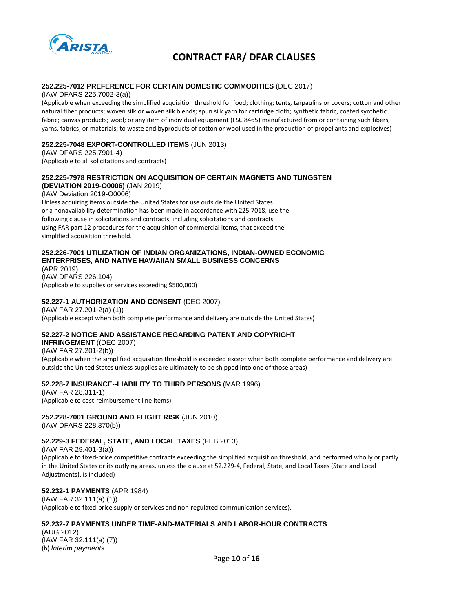

#### **252.225-7012 PREFERENCE FOR CERTAIN DOMESTIC COMMODITIES** (DEC 2017)

(IAW DFARS 225.7002-3(a))

(Applicable when exceeding the simplified acquisition threshold for food; clothing; tents, tarpaulins or covers; cotton and other natural fiber products; woven silk or woven silk blends; spun silk yarn for cartridge cloth; synthetic fabric, coated synthetic fabric; canvas products; wool; or any item of individual equipment (FSC 8465) manufactured from or containing such fibers, yarns, fabrics, or materials; to waste and byproducts of cotton or wool used in the production of propellants and explosives)

## **252.225-7048 EXPORT-CONTROLLED ITEMS** (JUN 2013)

(IAW DFARS 225.7901-4) (Applicable to all solicitations and contracts)

# **252.225-7978 RESTRICTION ON ACQUISITION OF CERTAIN MAGNETS AND TUNGSTEN**

**(DEVIATION 2019-O0006)** (JAN 2019) (IAW Deviation 2019-O0006) Unless acquiring items outside the United States for use outside the United States or a nonavailability determination has been made in accordance with 225.7018, use the following clause in solicitations and contracts, including solicitations and contracts using FAR part 12 procedures for the acquisition of commercial items, that exceed the simplified acquisition threshold.

#### **252.226-7001 UTILIZATION OF INDIAN ORGANIZATIONS, INDIAN-OWNED ECONOMIC ENTERPRISES, AND NATIVE HAWAIIAN SMALL BUSINESS CONCERNS**

(APR 2019) (IAW DFARS 226.104) (Applicable to supplies or services exceeding \$500,000)

## **52.227-1 AUTHORIZATION AND CONSENT** (DEC 2007)

(IAW FAR 27.201-2(a) (1)) (Applicable except when both complete performance and delivery are outside the United States)

# **52.227-2 NOTICE AND ASSISTANCE REGARDING PATENT AND COPYRIGHT**

**INFRINGEMENT** ((DEC 2007) (IAW FAR 27.201-2(b)) (Applicable when the simplified acquisition threshold is exceeded except when both complete performance and delivery are outside the United States unless supplies are ultimately to be shipped into one of those areas)

# **52.228-7 INSURANCE--LIABILITY TO THIRD PERSONS** (MAR 1996)

(IAW FAR 28.311-1) (Applicable to cost‐reimbursement line items)

**252.228-7001 GROUND AND FLIGHT RISK** (JUN 2010) (IAW DFARS 228.370(b))

# **52.229-3 FEDERAL, STATE, AND LOCAL TAXES** (FEB 2013)

(IAW FAR 29.401-3(a)) (Applicable to fixed‐price competitive contracts exceeding the simplified acquisition threshold, and performed wholly or partly in the United States or its outlying areas, unless the clause at 52.229-4, Federal, State, and Local Taxes (State and Local Adjustments), is included)

#### **52.232-1 PAYMENTS** (APR 1984)

(IAW FAR 32.111(a) (1)) (Applicable to fixed‐price supply or services and non‐regulated communication services).

# **52.232-7 PAYMENTS UNDER TIME-AND-MATERIALS AND LABOR-HOUR CONTRACTS**

(AUG 2012) (IAW FAR 32.111(a) (7)) (h) *Interim payments.*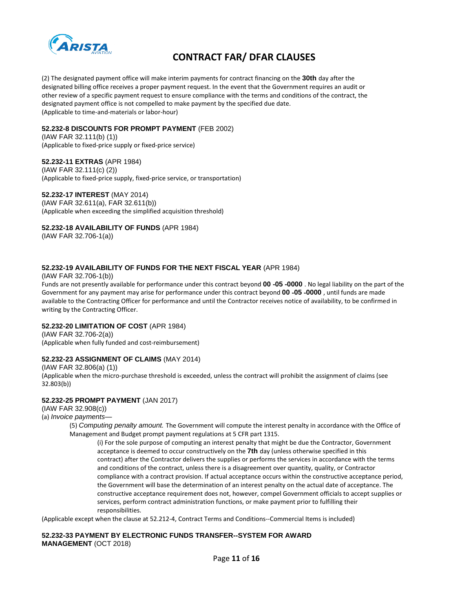

(2) The designated payment office will make interim payments for contract financing on the **30th** day after the designated billing office receives a proper payment request. In the event that the Government requires an audit or other review of a specific payment request to ensure compliance with the terms and conditions of the contract, the designated payment office is not compelled to make payment by the specified due date. (Applicable to time‐and‐materials or labor‐hour)

**52.232-8 DISCOUNTS FOR PROMPT PAYMENT** (FEB 2002)

(IAW FAR 32.111(b) (1)) (Applicable to fixed‐price supply or fixed‐price service)

#### **52.232-11 EXTRAS** (APR 1984)

(IAW FAR 32.111(c) (2)) (Applicable to fixed‐price supply, fixed‐price service, or transportation)

#### **52.232-17 INTEREST** (MAY 2014)

(IAW FAR 32.611(a), FAR 32.611(b)) (Applicable when exceeding the simplified acquisition threshold)

**52.232-18 AVAILABILITY OF FUNDS** (APR 1984)

(IAW FAR 32.706-1(a))

#### **52.232-19 AVAILABILITY OF FUNDS FOR THE NEXT FISCAL YEAR** (APR 1984)

(IAW FAR 32.706-1(b))

Funds are not presently available for performance under this contract beyond **00** ‐**05** ‐**0000** . No legal liability on the part of the Government for any payment may arise for performance under this contract beyond **00** ‐**05** ‐**0000** , until funds are made available to the Contracting Officer for performance and until the Contractor receives notice of availability, to be confirmed in writing by the Contracting Officer.

#### **52.232-20 LIMITATION OF COST** (APR 1984)

(IAW FAR 32.706-2(a)) (Applicable when fully funded and cost‐reimbursement)

# **52.232-23 ASSIGNMENT OF CLAIMS** (MAY 2014)

(IAW FAR 32.806(a) (1)) (Applicable when the micro‐purchase threshold is exceeded, unless the contract will prohibit the assignment of claims (see 32.803(b))

#### **52.232-25 PROMPT PAYMENT** (JAN 2017)

(IAW FAR 32.908(c))

(a) *Invoice payments—*

(5) *Computing penalty amount.* The Government will compute the interest penalty in accordance with the Office of Management and Budget prompt payment regulations at 5 CFR part 1315.

(i) For the sole purpose of computing an interest penalty that might be due the Contractor, Government acceptance is deemed to occur constructively on the **7th** day (unless otherwise specified in this contract) after the Contractor delivers the supplies or performs the services in accordance with the terms and conditions of the contract, unless there is a disagreement over quantity, quality, or Contractor compliance with a contract provision. If actual acceptance occurs within the constructive acceptance period, the Government will base the determination of an interest penalty on the actual date of acceptance. The constructive acceptance requirement does not, however, compel Government officials to accept supplies or services, perform contract administration functions, or make payment prior to fulfilling their responsibilities.

(Applicable except when the clause at 52.212‐4, Contract Terms and Conditions‐‐Commercial Items is included)

## **52.232-33 PAYMENT BY ELECTRONIC FUNDS TRANSFER--SYSTEM FOR AWARD MANAGEMENT** (OCT 2018)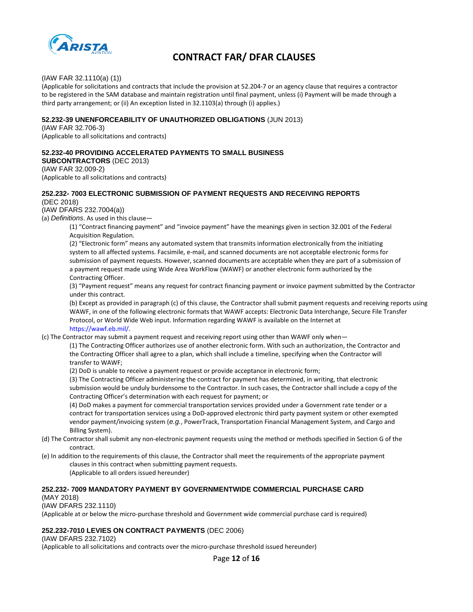

(IAW FAR 32.1110(a) (1))

(Applicable for solicitations and contracts that include the provision at 52.204‐7 or an agency clause that requires a contractor to be registered in the SAM database and maintain registration until final payment, unless (i) Payment will be made through a third party arrangement; or (ii) An exception listed in 32.1103(a) through (i) applies.)

#### **52.232-39 UNENFORCEABILITY OF UNAUTHORIZED OBLIGATIONS** (JUN 2013)

(IAW FAR 32.706-3) (Applicable to all solicitations and contracts)

#### **52.232-40 PROVIDING ACCELERATED PAYMENTS TO SMALL BUSINESS**

**SUBCONTRACTORS** (DEC 2013) (IAW FAR 32.009-2) (Applicable to all solicitations and contracts)

## **252.232- 7003 ELECTRONIC SUBMISSION OF PAYMENT REQUESTS AND RECEIVING REPORTS**

(DEC 2018)

(IAW DFARS 232.7004(a)) (a) *Definitions*. As used in this clause—

> (1) "Contract financing payment" and "invoice payment" have the meanings given in section 32.001 of the Federal Acquisition Regulation.

(2) "Electronic form" means any automated system that transmits information electronically from the initiating system to all affected systems. Facsimile, e-mail, and scanned documents are not acceptable electronic forms for submission of payment requests. However, scanned documents are acceptable when they are part of a submission of a payment request made using Wide Area WorkFlow (WAWF) or another electronic form authorized by the Contracting Officer.

(3) "Payment request" means any request for contract financing payment or invoice payment submitted by the Contractor under this contract.

(b) Except as provided in paragraph (c) of this clause, the Contractor shall submit payment requests and receiving reports using WAWF, in one of the following electronic formats that WAWF accepts: Electronic Data Interchange, Secure File Transfer Protocol, or World Wide Web input. Information regarding WAWF is available on the Internet at https://wawf.eb.mil/.

(c) The Contractor may submit a payment request and receiving report using other than WAWF only when—

(1) The Contracting Officer authorizes use of another electronic form. With such an authorization, the Contractor and the Contracting Officer shall agree to a plan, which shall include a timeline, specifying when the Contractor will transfer to WAWF;

(2) DoD is unable to receive a payment request or provide acceptance in electronic form;

(3) The Contracting Officer administering the contract for payment has determined, in writing, that electronic submission would be unduly burdensome to the Contractor. In such cases, the Contractor shall include a copy of the Contracting Officer's determination with each request for payment; or

(4) DoD makes a payment for commercial transportation services provided under a Government rate tender or a contract for transportation services using a DoD‐approved electronic third party payment system or other exempted vendor payment/invoicing system (*e.g.*, PowerTrack, Transportation Financial Management System, and Cargo and Billing System).

- (d) The Contractor shall submit any non‐electronic payment requests using the method or methods specified in Section G of the contract.
- (e) In addition to the requirements of this clause, the Contractor shall meet the requirements of the appropriate payment clauses in this contract when submitting payment requests.

(Applicable to all orders issued hereunder)

#### **252.232- 7009 MANDATORY PAYMENT BY GOVERNMENTWIDE COMMERCIAL PURCHASE CARD** (MAY 2018)

(IAW DFARS 232.1110)

(Applicable at or below the micro‐purchase threshold and Government wide commercial purchase card is required)

#### **252.232-7010 LEVIES ON CONTRACT PAYMENTS** (DEC 2006)

(IAW DFARS 232.7102)

(Applicable to all solicitations and contracts over the micro‐purchase threshold issued hereunder)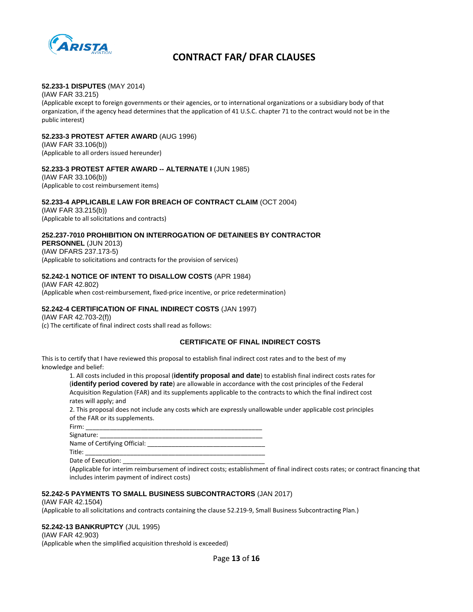

#### **52.233-1 DISPUTES** (MAY 2014)

#### (IAW FAR 33.215)

(Applicable except to foreign governments or their agencies, or to international organizations or a subsidiary body of that organization, if the agency head determines that the application of 41 U.S.C. chapter 71 to the contract would not be in the public interest)

### **52.233-3 PROTEST AFTER AWARD** (AUG 1996)

(IAW FAR 33.106(b)) (Applicable to all orders issued hereunder)

#### **52.233-3 PROTEST AFTER AWARD -- ALTERNATE I** (JUN 1985)

(IAW FAR 33.106(b)) (Applicable to cost reimbursement items)

#### **52.233-4 APPLICABLE LAW FOR BREACH OF CONTRACT CLAIM** (OCT 2004)

(IAW FAR 33.215(b)) (Applicable to all solicitations and contracts)

#### **252.237-7010 PROHIBITION ON INTERROGATION OF DETAINEES BY CONTRACTOR**

**PERSONNEL** (JUN 2013) (IAW DFARS 237.173-5) (Applicable to solicitations and contracts for the provision of services)

### **52.242-1 NOTICE OF INTENT TO DISALLOW COSTS** (APR 1984)

(IAW FAR 42.802) (Applicable when cost‐reimbursement, fixed‐price incentive, or price redetermination)

#### **52.242-4 CERTIFICATION OF FINAL INDIRECT COSTS** (JAN 1997)

(IAW FAR 42.703-2(f)) (c) The certificate of final indirect costs shall read as follows:

#### **CERTIFICATE OF FINAL INDIRECT COSTS**

This is to certify that I have reviewed this proposal to establish final indirect cost rates and to the best of my knowledge and belief:

1. All costs included in this proposal (**identify proposal and date**) to establish final indirect costs rates for (**identify period covered by rate**) are allowable in accordance with the cost principles of the Federal Acquisition Regulation (FAR) and its supplements applicable to the contracts to which the final indirect cost rates will apply; and

2. This proposal does not include any costs which are expressly unallowable under applicable cost principles of the FAR or its supplements.

Firm: \_\_\_\_\_\_\_\_\_\_\_\_\_\_\_\_\_\_\_\_\_\_\_\_\_\_\_\_\_\_\_\_\_\_\_\_\_\_\_\_\_\_\_\_\_\_\_\_\_\_\_ Signature: Name of Certifying Official: Title: \_\_\_\_\_\_\_\_\_\_\_\_\_\_\_\_\_\_\_\_\_\_\_\_\_\_\_\_\_\_\_\_\_\_\_\_\_\_\_\_\_\_\_\_\_\_\_\_\_\_\_\_

Date of Execution:

(Applicable for interim reimbursement of indirect costs; establishment of final indirect costs rates; or contract financing that includes interim payment of indirect costs)

#### **52.242-5 PAYMENTS TO SMALL BUSINESS SUBCONTRACTORS** (JAN 2017)

(IAW FAR 42.1504)

(Applicable to all solicitations and contracts containing the clause 52.219‐9, Small Business Subcontracting Plan.)

#### **52.242-13 BANKRUPTCY** (JUL 1995)

(IAW FAR 42.903)

(Applicable when the simplified acquisition threshold is exceeded)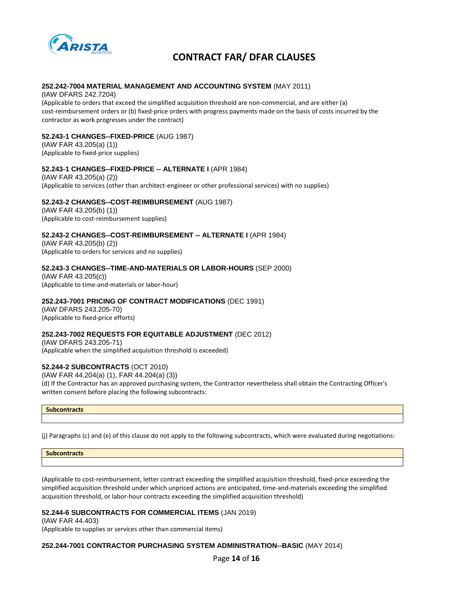

#### **252.242-7004 MATERIAL MANAGEMENT AND ACCOUNTING SYSTEM** (MAY 2011)

(IAW DFARS 242.7204) (Applicable to orders that exceed the simplified acquisition threshold are non‐commercial, and are either (a) cost-reimbursement orders or (b) fixed-price orders with progress payments made on the basis of costs incurred by the contractor as work progresses under the contract)

## **52.243-1 CHANGES--FIXED-PRICE** (AUG 1987)

(IAW FAR 43.205(a) (1)) (Applicable to fixed‐price supplies)

#### **52.243-1 CHANGES--FIXED-PRICE -- ALTERNATE I** (APR 1984)

(IAW FAR 43.205(a) (2)) (Applicable to services (other than architect‐engineer or other professional services) with no supplies)

#### **52.243-2 CHANGES--COST-REIMBURSEMENT** (AUG 1987)

(IAW FAR 43.205(b) (1)) (Applicable to cost‐reimbursement supplies)

#### **52.243-2 CHANGES--COST-REIMBURSEMENT -- ALTERNATE I** (APR 1984)

(IAW FAR 43.205(b) (2)) (Applicable to orders for services and no supplies)

## **52.243-3 CHANGES--TIME-AND-MATERIALS OR LABOR-HOURS** (SEP 2000)

(IAW FAR 43.205(c)) (Applicable to time‐and‐materials or labor‐hour)

### **252.243-7001 PRICING OF CONTRACT MODIFICATIONS** (DEC 1991)

(IAW DFARS 243.205-70) (Applicable to fixed‐price efforts)

#### **252.243-7002 REQUESTS FOR EQUITABLE ADJUSTMENT** (DEC 2012)

(IAW DFARS 243.205-71) (Applicable when the simplified acquisition threshold is exceeded)

#### **52.244-2 SUBCONTRACTS** (OCT 2010)

(IAW FAR 44.204(a) (1), FAR 44.204(a) (3)) (d) If the Contractor has an approved purchasing system, the Contractor nevertheless shall obtain the Contracting Officer's written consent before placing the following subcontracts:

### **Subcontracts**

(j) Paragraphs (c) and (e) of this clause do not apply to the following subcontracts, which were evaluated during negotiations:

**Subcontracts**

(Applicable to cost‐reimbursement, letter contract exceeding the simplified acquisition threshold, fixed‐price exceeding the simplified acquisition threshold under which unpriced actions are anticipated, time-and-materials exceeding the simplified acquisition threshold, or labor‐hour contracts exceeding the simplified acquisition threshold)

#### **52.244-6 SUBCONTRACTS FOR COMMERCIAL ITEMS** (JAN 2019)

(IAW FAR 44.403) (Applicable to supplies or services other than commercial items)

#### **252.244-7001 CONTRACTOR PURCHASING SYSTEM ADMINISTRATION--BASIC** (MAY 2014)

Page **14** of **16**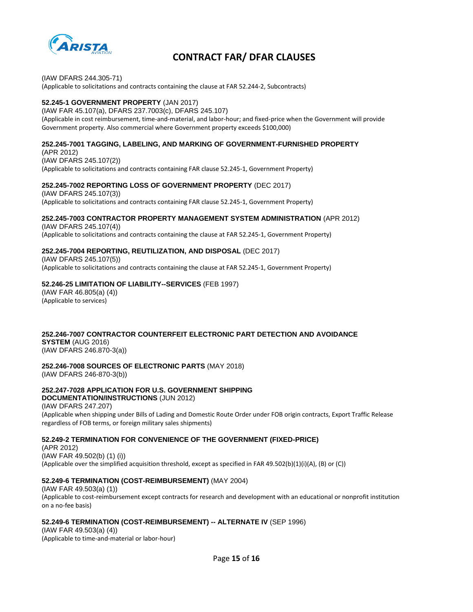

(IAW DFARS 244.305-71) (Applicable to solicitations and contracts containing the clause at FAR 52.244‐2, Subcontracts)

## **52.245-1 GOVERNMENT PROPERTY** (JAN 2017)

(IAW FAR 45.107(a), DFARS 237.7003(c), DFARS 245.107) (Applicable in cost reimbursement, time‐and‐material, and labor‐hour; and fixed‐price when the Government will provide Government property. Also commercial where Government property exceeds \$100,000)

# **252.245-7001 TAGGING, LABELING, AND MARKING OF GOVERNMENT-FURNISHED PROPERTY**

(APR 2012) (IAW DFARS 245.107(2)) (Applicable to solicitations and contracts containing FAR clause 52.245‐1, Government Property)

## **252.245-7002 REPORTING LOSS OF GOVERNMENT PROPERTY** (DEC 2017)

(IAW DFARS 245.107(3)) (Applicable to solicitations and contracts containing FAR clause 52.245‐1, Government Property)

## **252.245-7003 CONTRACTOR PROPERTY MANAGEMENT SYSTEM ADMINISTRATION** (APR 2012)

(IAW DFARS 245.107(4)) (Applicable to solicitations and contracts containing the clause at FAR 52.245‐1, Government Property)

## **252.245-7004 REPORTING, REUTILIZATION, AND DISPOSAL** (DEC 2017)

(IAW DFARS 245.107(5)) (Applicable to solicitations and contracts containing the clause at FAR 52.245‐1, Government Property)

## **52.246-25 LIMITATION OF LIABILITY--SERVICES** (FEB 1997)

(IAW FAR 46.805(a) (4)) (Applicable to services)

**252.246-7007 CONTRACTOR COUNTERFEIT ELECTRONIC PART DETECTION AND AVOIDANCE**

**SYSTEM** (AUG 2016) (IAW DFARS 246.870-3(a))

# **252.246-7008 SOURCES OF ELECTRONIC PARTS** (MAY 2018)

(IAW DFARS 246-870-3(b))

#### **252.247-7028 APPLICATION FOR U.S. GOVERNMENT SHIPPING DOCUMENTATION/INSTRUCTIONS** (JUN 2012)

(IAW DFARS 247.207) (Applicable when shipping under Bills of Lading and Domestic Route Order under FOB origin contracts, Export Traffic Release regardless of FOB terms, or foreign military sales shipments)

# **52.249-2 TERMINATION FOR CONVENIENCE OF THE GOVERNMENT (FIXED-PRICE)**

(APR 2012) (IAW FAR 49.502(b) (1) (i)) (Applicable over the simplified acquisition threshold, except as specified in FAR 49.502(b)(1)(i)(A), (B) or (C))

# **52.249-6 TERMINATION (COST-REIMBURSEMENT)** (MAY 2004)

(IAW FAR 49.503(a) (1)) (Applicable to cost‐reimbursement except contracts for research and development with an educational or nonprofit institution on a no‐fee basis)

#### **52.249-6 TERMINATION (COST-REIMBURSEMENT) -- ALTERNATE IV** (SEP 1996)

(IAW FAR 49.503(a) (4)) (Applicable to time‐and‐material or labor‐hour)